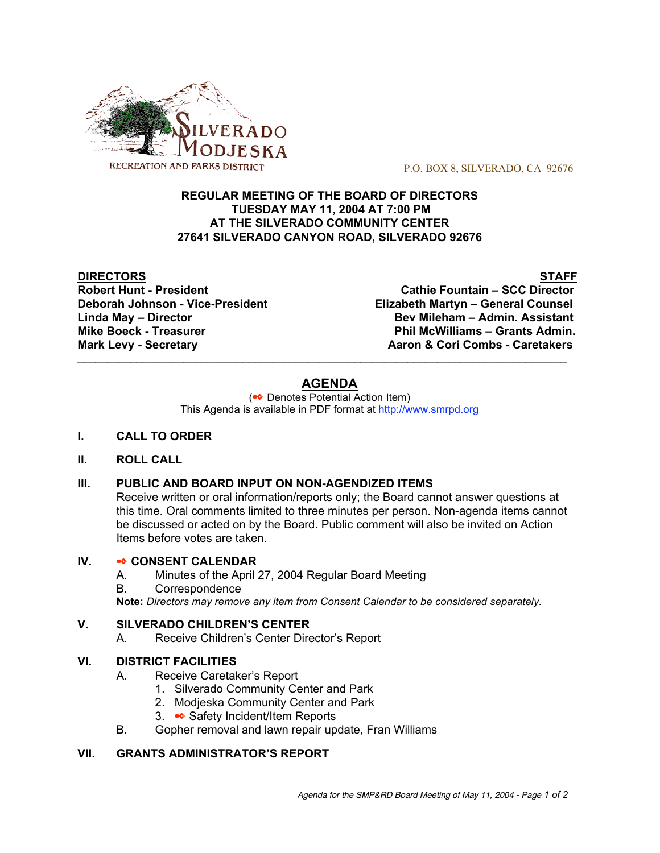

P.O. BOX 8, SILVERADO, CA 92676

#### **REGULAR MEETING OF THE BOARD OF DIRECTORS TUESDAY MAY 11, 2004 AT 7:00 PM AT THE SILVERADO COMMUNITY CENTER 27641 SILVERADO CANYON ROAD, SILVERADO 92676**

**DIRECTORS** STAFF

**Robert Hunt - President Cathie Fountain – SCC Director Deborah Johnson - Vice-President Elizabeth Martyn – General Counsel Linda May – Director Bev Mileham – Admin. Assistant Mike Boeck - Treasurer Phil McWilliams – Grants Admin. Mark Levy - Secretary <b>Aaron & Cori Combs** - Caretakers **Mark** Levy - Secretary

# **AGENDA**

 $\mathcal{L}_\text{max}$  , and the contribution of the contribution of the contribution of the contribution of the contribution of the contribution of the contribution of the contribution of the contribution of the contribution of t

(✒ Denotes Potential Action Item) This Agenda is available in PDF format at http://www.smrpd.org

- **I. CALL TO ORDER**
- **II. ROLL CALL**

## **III. PUBLIC AND BOARD INPUT ON NON-AGENDIZED ITEMS**

Receive written or oral information/reports only; the Board cannot answer questions at this time. Oral comments limited to three minutes per person. Non-agenda items cannot be discussed or acted on by the Board. Public comment will also be invited on Action Items before votes are taken.

#### **IV.** ✒ **CONSENT CALENDAR**

- A. Minutes of the April 27, 2004 Regular Board Meeting
- B. Correspondence

**Note:** *Directors may remove any item from Consent Calendar to be considered separately.*

#### **V. SILVERADO CHILDREN'S CENTER**

A. Receive Children's Center Director's Report

## **VI. DISTRICT FACILITIES**

- A. Receive Caretaker's Report
	- 1. Silverado Community Center and Park
	- 2. Modjeska Community Center and Park
	- 3. 
	incident/Item Reports
- B. Gopher removal and lawn repair update, Fran Williams

## **VII. GRANTS ADMINISTRATOR'S REPORT**